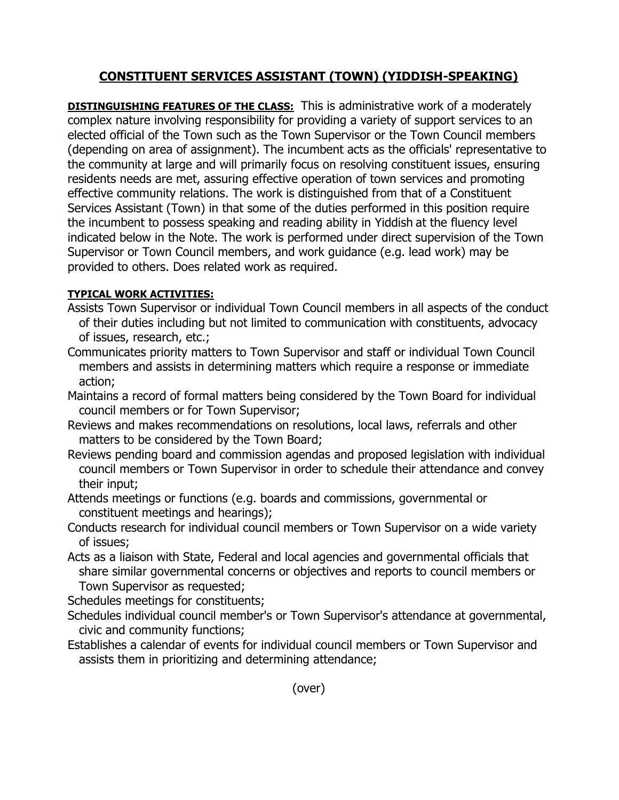## **CONSTITUENT SERVICES ASSISTANT (TOWN) (YIDDISH-SPEAKING)**

**DISTINGUISHING FEATURES OF THE CLASS:** This is administrative work of a moderately complex nature involving responsibility for providing a variety of support services to an elected official of the Town such as the Town Supervisor or the Town Council members (depending on area of assignment). The incumbent acts as the officials' representative to the community at large and will primarily focus on resolving constituent issues, ensuring residents needs are met, assuring effective operation of town services and promoting effective community relations. The work is distinguished from that of a Constituent Services Assistant (Town) in that some of the duties performed in this position require the incumbent to possess speaking and reading ability in Yiddish at the fluency level indicated below in the Note. The work is performed under direct supervision of the Town Supervisor or Town Council members, and work guidance (e.g. lead work) may be provided to others. Does related work as required.

## **TYPICAL WORK ACTIVITIES:**

- Assists Town Supervisor or individual Town Council members in all aspects of the conduct of their duties including but not limited to communication with constituents, advocacy of issues, research, etc.;
- Communicates priority matters to Town Supervisor and staff or individual Town Council members and assists in determining matters which require a response or immediate action;
- Maintains a record of formal matters being considered by the Town Board for individual council members or for Town Supervisor;
- Reviews and makes recommendations on resolutions, local laws, referrals and other matters to be considered by the Town Board;
- Reviews pending board and commission agendas and proposed legislation with individual council members or Town Supervisor in order to schedule their attendance and convey their input;
- Attends meetings or functions (e.g. boards and commissions, governmental or constituent meetings and hearings);
- Conducts research for individual council members or Town Supervisor on a wide variety of issues;
- Acts as a liaison with State, Federal and local agencies and governmental officials that share similar governmental concerns or objectives and reports to council members or Town Supervisor as requested;

Schedules meetings for constituents;

- Schedules individual council member's or Town Supervisor's attendance at governmental, civic and community functions;
- Establishes a calendar of events for individual council members or Town Supervisor and assists them in prioritizing and determining attendance;

(over)